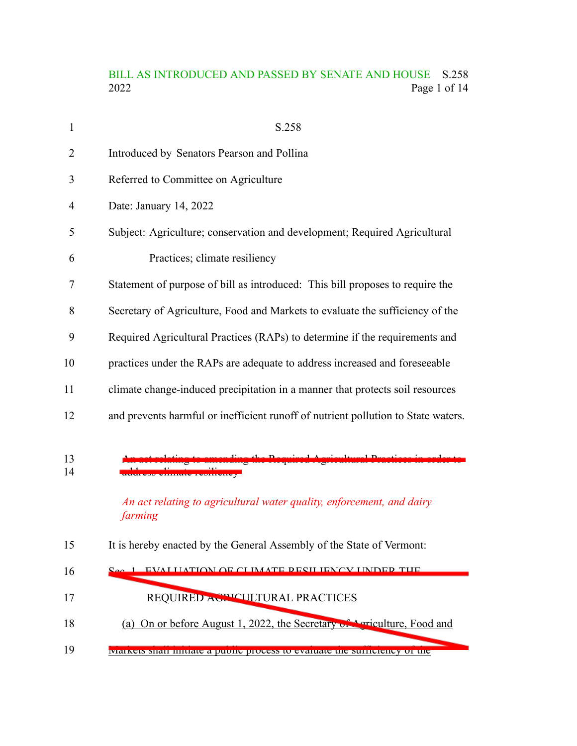# BILL AS INTRODUCED AND PASSED BY SENATE AND HOUSE S.258<br>2022 Page 1 of 14 Page 1 of 14

| 1        | S.258                                                                                                          |
|----------|----------------------------------------------------------------------------------------------------------------|
| 2        | Introduced by Senators Pearson and Pollina                                                                     |
| 3        | Referred to Committee on Agriculture                                                                           |
| 4        | Date: January 14, 2022                                                                                         |
| 5        | Subject: Agriculture; conservation and development; Required Agricultural                                      |
| 6        | Practices; climate resiliency                                                                                  |
| 7        | Statement of purpose of bill as introduced: This bill proposes to require the                                  |
| 8        | Secretary of Agriculture, Food and Markets to evaluate the sufficiency of the                                  |
| 9        | Required Agricultural Practices (RAPs) to determine if the requirements and                                    |
| 10       | practices under the RAPs are adequate to address increased and foreseeable                                     |
| 11       | climate change-induced precipitation in a manner that protects soil resources                                  |
| 12       | and prevents harmful or inefficient runoff of nutrient pollution to State waters.                              |
| 13<br>14 | <b>ERRICCE EVIDERSHAVE</b><br>An act relating to agricultural water quality, enforcement, and dairy<br>farming |
| 15       | It is hereby enacted by the General Assembly of the State of Vermont:                                          |
| 16       | 1 EVALUATION OF CUMATE DESILIENCY UNIDED THE                                                                   |
| 17       | REQUIRED ACPICULTURAL PRACTICES                                                                                |
| 18       | (a) On or before August 1, 2022, the Secretary of Agriculture, Food and                                        |
| 19       | vialisets shall mitrate a public process to evaluate the surficiency of the                                    |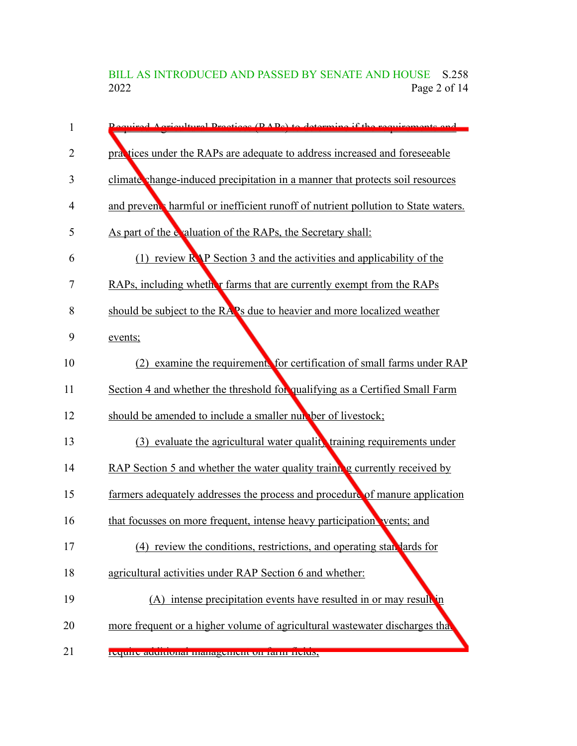BILL AS INTRODUCED AND PASSED BY SENATE AND HOUSE S.258<br>2022 Page 2 of 14 Page 2 of 14

| 1              | Dequired Agricultural Dractices (DADs) to determine if the requirements and         |
|----------------|-------------------------------------------------------------------------------------|
| $\overline{2}$ | practices under the RAPs are adequate to address increased and foreseeable          |
| 3              | climate change-induced precipitation in a manner that protects soil resources       |
| 4              | and prevent harmful or inefficient runoff of nutrient pollution to State waters.    |
| 5              | As part of the evaluation of the RAPs, the Secretary shall:                         |
| 6              | $(1)$ review R <sub>N</sub> P Section 3 and the activities and applicability of the |
| 7              | RAPs, including whether farms that are currently exempt from the RAPs               |
| 8              | should be subject to the RAPs due to heavier and more localized weather             |
| 9              | events;                                                                             |
| 10             | (2) examine the requirements for certification of small farms under RAP             |
| 11             | Section 4 and whether the threshold for qualifying as a Certified Small Farm        |
| 12             | should be amended to include a smaller number of livestock;                         |
| 13             | (3) evaluate the agricultural water quality training requirements under             |
| 14             | RAP Section 5 and whether the water quality training currently received by          |
| 15             | farmers adequately addresses the process and procedure of manure application        |
| 16             | that focusses on more frequent, intense heavy participation vents; and              |
| 17             | (4) review the conditions, restrictions, and operating standards for                |
| 18             | agricultural activities under RAP Section 6 and whether:                            |
| 19             | (A) intense precipitation events have resulted in or may result in                  |
| 20             | more frequent or a higher volume of agricultural wastewater discharges that         |
| 21             | require auunonarmanagement on rann-neius,                                           |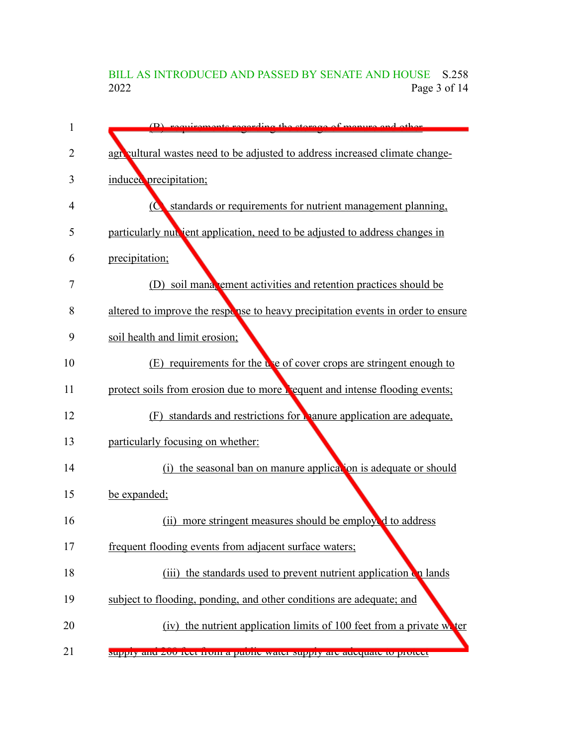# BILL AS INTRODUCED AND PASSED BY SENATE AND HOUSE S.258<br>2022 Page 3 of 14 Page 3 of 14

| 1  | $(D)$ requirements regarding the stereog of menure and                           |
|----|----------------------------------------------------------------------------------|
| 2  | agroultural wastes need to be adjusted to address increased climate change-      |
| 3  | induced precipitation;                                                           |
| 4  | standards or requirements for nutrient management planning,<br>$\bullet$         |
| 5  | particularly nut jent application, need to be adjusted to address changes in     |
| 6  | precipitation;                                                                   |
| 7  | (D) soil mana ement activities and retention practices should be                 |
| 8  | altered to improve the response to heavy precipitation events in order to ensure |
| 9  | soil health and limit erosion;                                                   |
| 10 | (E) requirements for the use of cover crops are stringent enough to              |
| 11 | protect soils from erosion due to more lequent and intense flooding events;      |
| 12 | (F) standards and restrictions for manure application are adequate,              |
| 13 | particularly focusing on whether:                                                |
| 14 | (i) the seasonal ban on manure application is adequate or should                 |
| 15 | be expanded;                                                                     |
| 16 | more stringent measures should be employed to address<br>(ii)                    |
| 17 | frequent flooding events from adjacent surface waters;                           |
| 18 | (iii) the standards used to prevent nutrient application on lands                |
| 19 | subject to flooding, ponding, and other conditions are adequate; and             |
| 20 | the nutrient application limits of 100 feet from a private water<br>(iv)         |
| 21 | supply and 200 feet from a public water supply are adequate to protect           |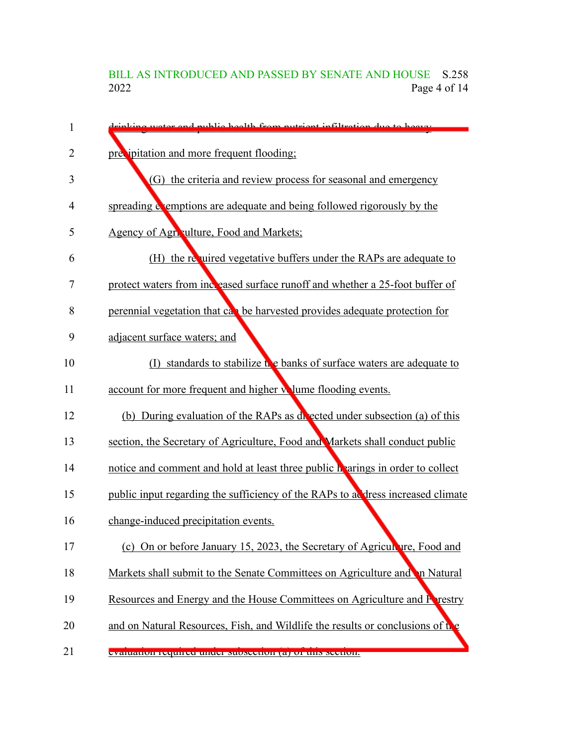# BILL AS INTRODUCED AND PASSED BY SENATE AND HOUSE S.258<br>2022 Page 4 of 14 Page 4 of 14

| $\mathbf{1}$ | riplying water and public health from putrient infiltration due to heavy        |
|--------------|---------------------------------------------------------------------------------|
| 2            | precipitation and more frequent flooding;                                       |
| 3            | (G) the criteria and review process for seasonal and emergency                  |
| 4            | spreading exemptions are adequate and being followed rigorously by the          |
| 5            | Agency of Agn. ulture, Food and Markets;                                        |
| 6            | (H) the required vegetative buffers under the RAPs are adequate to              |
| 7            | protect waters from increased surface runoff and whether a 25-foot buffer of    |
| 8            | perennial vegetation that can be harvested provides adequate protection for     |
| 9            | adjacent surface waters; and                                                    |
| 10           | (I) standards to stabilize the banks of surface waters are adequate to          |
| 11           | account for more frequent and higher wlume flooding events.                     |
| 12           | (b) During evaluation of the RAPs as divected under subsection (a) of this      |
| 13           | section, the Secretary of Agriculture, Food and Markets shall conduct public    |
| 14           | notice and comment and hold at least three public hearings in order to collect  |
| 15           | public input regarding the sufficiency of the RAPs to address increased climate |
| 16           | change-induced precipitation events.                                            |
| 17           | (c) On or before January 15, 2023, the Secretary of Agriculture, Food and       |
| 18           | Markets shall submit to the Senate Committees on Agriculture and n Natural      |
| 19           | Resources and Energy and the House Committees on Agriculture and Prestry        |
| 20           | and on Natural Resources, Fish, and Wildlife the results or conclusions of the  |
| 21           | evaluation required under subsection (a) or this section.                       |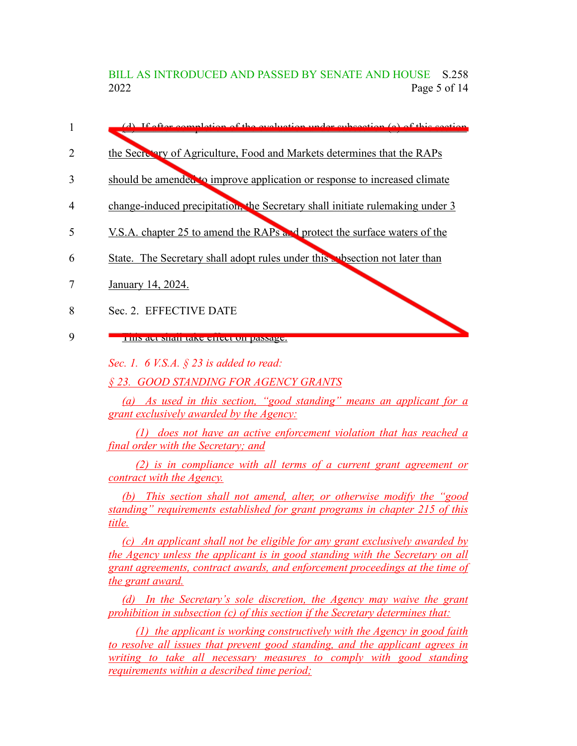BILL AS INTRODUCED AND PASSED BY SENATE AND HOUSE S.258 2022 Page 5 of 14

- (d) If after completion of the evaluation under subsection (a) of this section 1
- the Secretary of Agriculture, Food and Markets determines that the RAPs 2
- should be amended to improve application or response to increased climate 3
- change-induced precipitation, the Secretary shall initiate rulemaking under 3 4
- V.S.A. chapter 25 to amend the RAPs and protect the surface waters of the 5
- State. The Secretary shall adopt rules under this subsection not later than 6
- January 14, 2024. 7

Sec. 2. EFFECTIVE DATE 8

This act shall take effect on passage. 9

*Sec. 1. 6 V.S.A. § 23 is added to read:*

*§ 23. GOOD STANDING FOR AGENCY GRANTS*

*(a) As used in this section, "good standing" means an applicant for a grant exclusively awarded by the Agency:*

*(1) does not have an active enforcement violation that has reached a final order with the Secretary; and*

*(2) is in compliance with all terms of a current grant agreement or contract with the Agency.*

*(b) This section shall not amend, alter, or otherwise modify the "good standing" requirements established for grant programs in chapter 215 of this title.*

*(c) An applicant shall not be eligible for any grant exclusively awarded by the Agency unless the applicant is in good standing with the Secretary on all grant agreements, contract awards, and enforcement proceedings at the time of the grant award.*

*(d) In the Secretary's sole discretion, the Agency may waive the grant prohibition in subsection (c) of this section if the Secretary determines that:*

*(1) the applicant is working constructively with the Agency in good faith to resolve all issues that prevent good standing, and the applicant agrees in writing to take all necessary measures to comply with good standing requirements within a described time period;*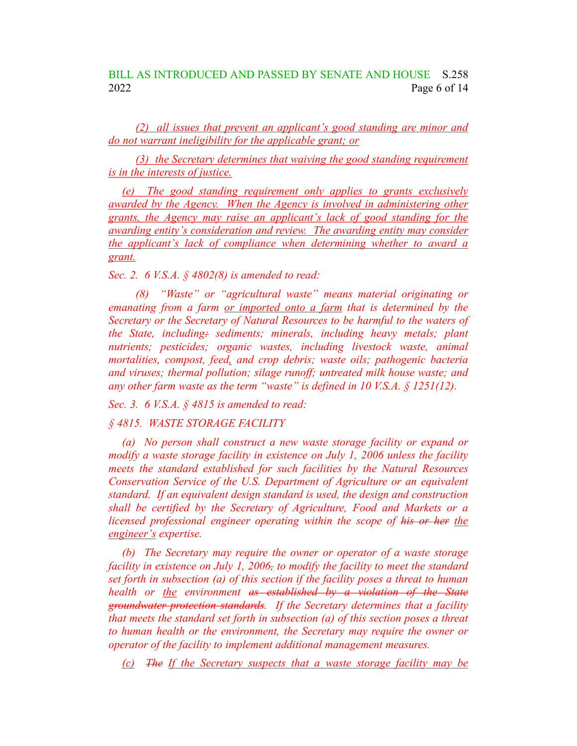# BILL AS INTRODUCED AND PASSED BY SENATE AND HOUSE S.258 2022 Page 6 of 14

*(2) all issues that prevent an applicant's good standing are minor and do not warrant ineligibility for the applicable grant; or*

*(3) the Secretary determines that waiving the good standing requirement is in the interests of justice.*

*(e) The good standing requirement only applies to grants exclusively awarded by the Agency. When the Agency is involved in administering other grants, the Agency may raise an applicant's lack of good standing for the awarding entity's consideration and review. The awarding entity may consider the applicant's lack of compliance when determining whether to award a grant.*

*Sec. 2. 6 V.S.A. § 4802(8) is amended to read:*

*(8) "Waste" or "agricultural waste" means material originating or emanating from a farm or imported onto a farm that is determined by the Secretary or the Secretary of Natural Resources to be harmful to the waters of the State, including: sediments; minerals, including heavy metals; plant nutrients; pesticides; organic wastes, including livestock waste, animal mortalities, compost, feed, and crop debris; waste oils; pathogenic bacteria and viruses; thermal pollution; silage runoff; untreated milk house waste; and any other farm waste as the term "waste" is defined in 10 V.S.A. § 1251(12).*

*Sec. 3. 6 V.S.A. § 4815 is amended to read:*

*§ 4815. WASTE STORAGE FACILITY*

*(a) No person shall construct a new waste storage facility or expand or modify a waste storage facility in existence on July 1, 2006 unless the facility meets the standard established for such facilities by the Natural Resources Conservation Service of the U.S. Department of Agriculture or an equivalent standard. If an equivalent design standard is used, the design and construction shall be certified by the Secretary of Agriculture, Food and Markets or a licensed professional engineer operating within the scope of his or her the engineer's expertise.*

*(b) The Secretary may require the owner or operator of a waste storage facility in existence on July 1, 2006, to modify the facility to meet the standard set forth in subsection (a) of this section if the facility poses a threat to human health or the environment as established by a violation of the State groundwater protection standards. If the Secretary determines that a facility that meets the standard set forth in subsection (a) of this section poses a threat to human health or the environment, the Secretary may require the owner or operator of the facility to implement additional management measures.*

*(c) The If the Secretary suspects that a waste storage facility may be*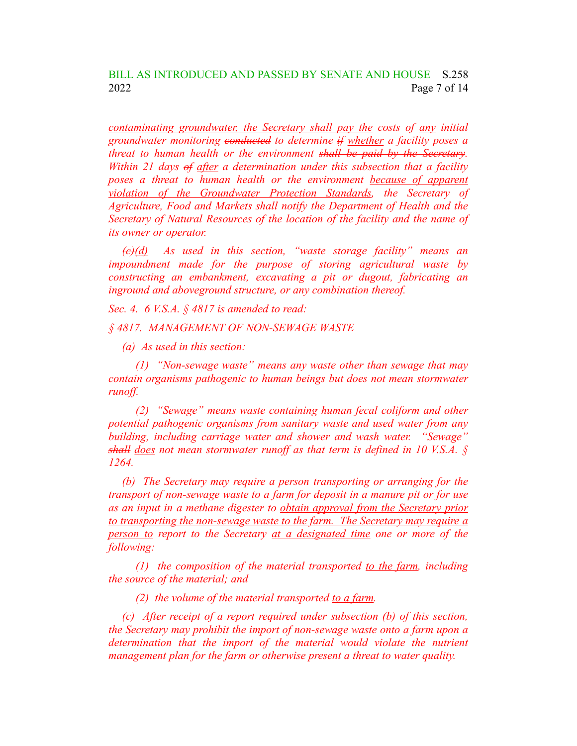*contaminating groundwater, the Secretary shall pay the costs of any initial groundwater monitoring conducted to determine if whether a facility poses a threat to human health or the environment shall be paid by the Secretary. Within 21 days of after a determination under this subsection that a facility poses a threat to human health or the environment because of apparent violation of the Groundwater Protection Standards, the Secretary of Agriculture, Food and Markets shall notify the Department of Health and the Secretary of Natural Resources of the location of the facility and the name of its owner or operator.*

*(c)(d) As used in this section, "waste storage facility" means an impoundment made for the purpose of storing agricultural waste by constructing an embankment, excavating a pit or dugout, fabricating an inground and aboveground structure, or any combination thereof.*

*Sec. 4. 6 V.S.A. § 4817 is amended to read:*

*§ 4817. MANAGEMENT OF NON-SEWAGE WASTE*

*(a) As used in this section:*

*(1) "Non-sewage waste" means any waste other than sewage that may contain organisms pathogenic to human beings but does not mean stormwater runoff.*

*(2) "Sewage" means waste containing human fecal coliform and other potential pathogenic organisms from sanitary waste and used water from any building, including carriage water and shower and wash water. "Sewage" shall does not mean stormwater runoff as that term is defined in 10 V.S.A. § 1264.*

*(b) The Secretary may require a person transporting or arranging for the transport of non-sewage waste to a farm for deposit in a manure pit or for use as an input in a methane digester to obtain approval from the Secretary prior to transporting the non-sewage waste to the farm. The Secretary may require a person to report to the Secretary at a designated time one or more of the following:*

*(1) the composition of the material transported to the farm, including the source of the material; and*

*(2) the volume of the material transported to a farm.*

*(c) After receipt of a report required under subsection (b) of this section, the Secretary may prohibit the import of non-sewage waste onto a farm upon a determination that the import of the material would violate the nutrient management plan for the farm or otherwise present a threat to water quality.*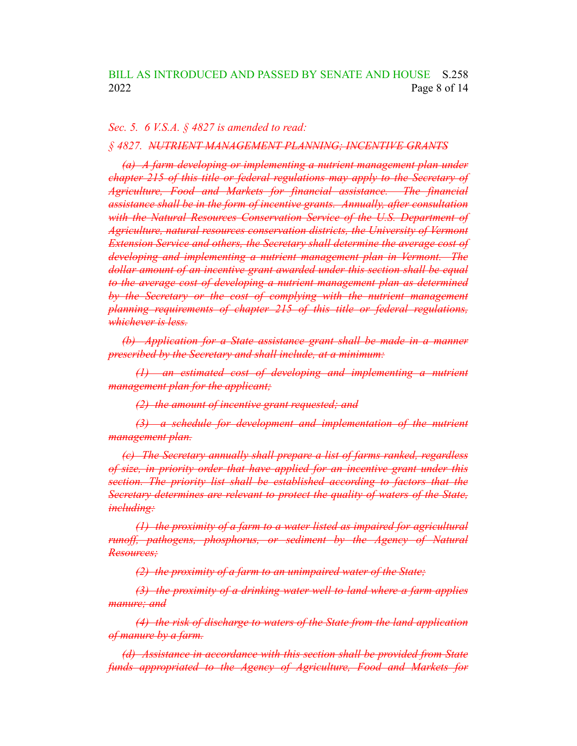#### *Sec. 5. 6 V.S.A. § 4827 is amended to read:*

### *§ 4827. NUTRIENT MANAGEMENT PLANNING; INCENTIVE GRANTS*

*(a) A farm developing or implementing a nutrient management plan under chapter 215 of this title or federal regulations may apply to the Secretary of Agriculture, Food and Markets for financial assistance. The financial assistance shall be in the form of incentive grants. Annually, after consultation with the Natural Resources Conservation Service of the U.S. Department of Agriculture, natural resources conservation districts, the University of Vermont Extension Service and others, the Secretary shall determine the average cost of developing and implementing a nutrient management plan in Vermont. The dollar amount of an incentive grant awarded under this section shall be equal to the average cost of developing a nutrient management plan as determined by the Secretary or the cost of complying with the nutrient management planning requirements of chapter 215 of this title or federal regulations, whichever is less.*

*(b) Application for a State assistance grant shall be made in a manner prescribed by the Secretary and shall include, at a minimum:*

*(1) an estimated cost of developing and implementing a nutrient management plan for the applicant;*

*(2) the amount of incentive grant requested; and*

*(3) a schedule for development and implementation of the nutrient management plan.*

*(c) The Secretary annually shall prepare a list of farms ranked, regardless of size, in priority order that have applied for an incentive grant under this section. The priority list shall be established according to factors that the Secretary determines are relevant to protect the quality of waters of the State, including:*

*(1) the proximity of a farm to a water listed as impaired for agricultural runoff, pathogens, phosphorus, or sediment by the Agency of Natural Resources;*

*(2) the proximity of a farm to an unimpaired water of the State;*

*(3) the proximity of a drinking water well to land where a farm applies manure; and*

*(4) the risk of discharge to waters of the State from the land application of manure by a farm.*

*(d) Assistance in accordance with this section shall be provided from State funds appropriated to the Agency of Agriculture, Food and Markets for*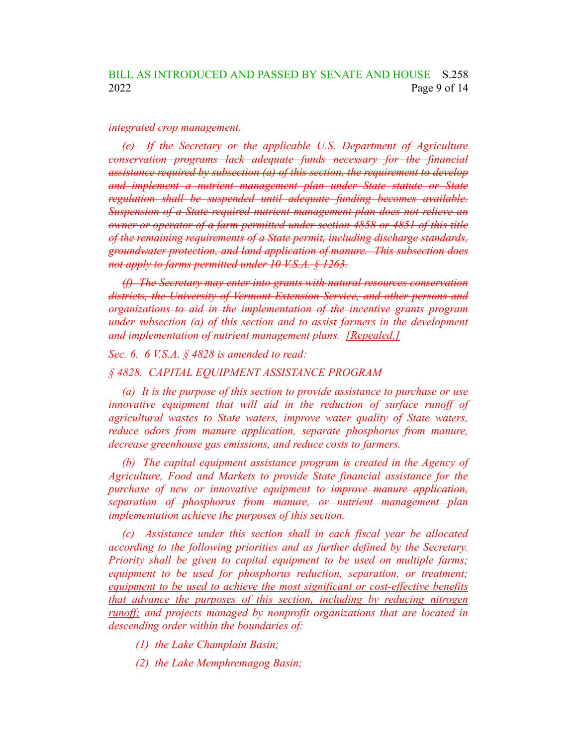#### *integrated crop management.*

*(e) If the Secretary or the applicable U.S. Department of Agriculture conservation programs lack adequate funds necessary for the financial assistance required by subsection (a) of this section, the requirement to develop and implement a nutrient management plan under State statute or State regulation shall be suspended until adequate funding becomes available. Suspension of a State-required nutrient management plan does not relieve an owner or operator of a farm permitted under section 4858 or 4851 of this title of the remaining requirements of a State permit, including discharge standards, groundwater protection, and land application of manure. This subsection does not apply to farms permitted under 10 V.S.A. § 1263.*

*(f) The Secretary may enter into grants with natural resources conservation districts, the University of Vermont Extension Service, and other persons and organizations to aid in the implementation of the incentive grants program under subsection (a) of this section and to assist farmers in the development and implementation of nutrient management plans. [Repealed.]*

*Sec. 6. 6 V.S.A. § 4828 is amended to read:*

### *§ 4828. CAPITAL EQUIPMENT ASSISTANCE PROGRAM*

*(a) It is the purpose of this section to provide assistance to purchase or use innovative equipment that will aid in the reduction of surface runoff of agricultural wastes to State waters, improve water quality of State waters, reduce odors from manure application, separate phosphorus from manure, decrease greenhouse gas emissions, and reduce costs to farmers.*

*(b) The capital equipment assistance program is created in the Agency of Agriculture, Food and Markets to provide State financial assistance for the purchase of new or innovative equipment to improve manure application, separation of phosphorus from manure, or nutrient management plan implementation achieve the purposes of this section.*

*(c) Assistance under this section shall in each fiscal year be allocated according to the following priorities and as further defined by the Secretary. Priority shall be given to capital equipment to be used on multiple farms; equipment to be used for phosphorus reduction, separation, or treatment; equipment to be used to achieve the most significant or cost-effective benefits that advance the purposes of this section, including by reducing nitrogen runoff; and projects managed by nonprofit organizations that are located in descending order within the boundaries of:*

- *(1) the Lake Champlain Basin;*
- *(2) the Lake Memphremagog Basin;*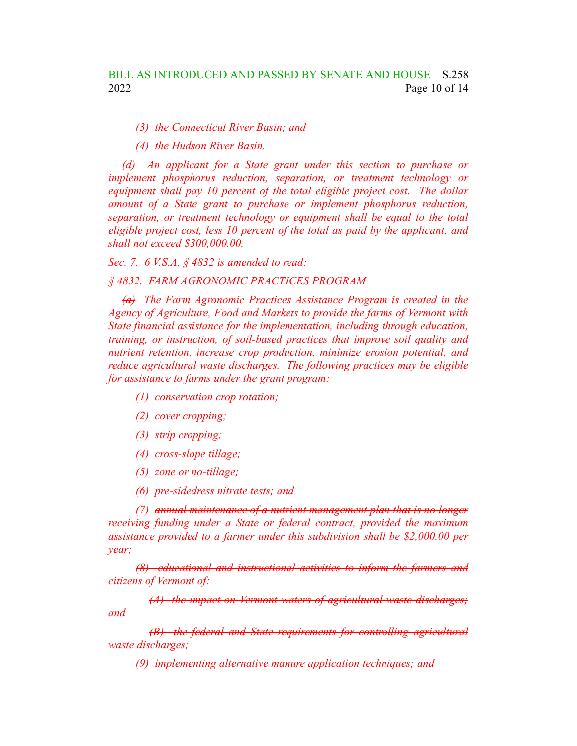*(3) the Connecticut River Basin; and*

*(4) the Hudson River Basin.*

*(d) An applicant for a State grant under this section to purchase or implement phosphorus reduction, separation, or treatment technology or equipment shall pay 10 percent of the total eligible project cost. The dollar amount of a State grant to purchase or implement phosphorus reduction, separation, or treatment technology or equipment shall be equal to the total eligible project cost, less 10 percent of the total as paid by the applicant, and shall not exceed \$300,000.00.*

*Sec. 7. 6 V.S.A. § 4832 is amended to read:*

### *§ 4832. FARM AGRONOMIC PRACTICES PROGRAM*

*(a) The Farm Agronomic Practices Assistance Program is created in the Agency of Agriculture, Food and Markets to provide the farms of Vermont with State financial assistance for the implementation, including through education, training, or instruction, of soil-based practices that improve soil quality and nutrient retention, increase crop production, minimize erosion potential, and reduce agricultural waste discharges. The following practices may be eligible for assistance to farms under the grant program:*

- *(1) conservation crop rotation;*
- *(2) cover cropping;*
- *(3) strip cropping;*
- *(4) cross-slope tillage;*
- *(5) zone or no-tillage;*
- *(6) pre-sidedress nitrate tests; and*

*(7) annual maintenance of a nutrient management plan that is no longer receiving funding under a State or federal contract, provided the maximum assistance provided to a farmer under this subdivision shall be \$2,000.00 per year;*

*(8) educational and instructional activities to inform the farmers and citizens of Vermont of:*

*(A) the impact on Vermont waters of agricultural waste discharges; and*

*(B) the federal and State requirements for controlling agricultural waste discharges;*

*(9) implementing alternative manure application techniques; and*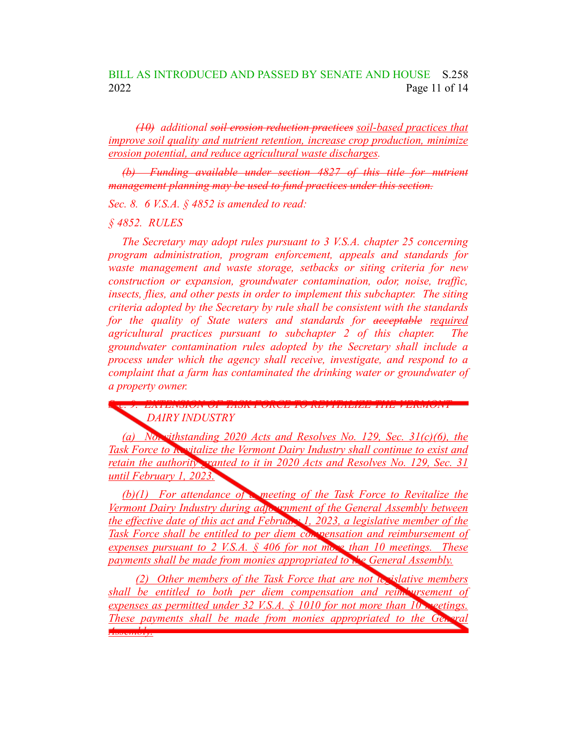## BILL AS INTRODUCED AND PASSED BY SENATE AND HOUSE S.258 2022 Page 11 of 14

*(10) additional soil erosion reduction practices soil-based practices that improve soil quality and nutrient retention, increase crop production, minimize erosion potential, and reduce agricultural waste discharges.*

*(b) Funding available under section 4827 of this title for nutrient management planning may be used to fund practices under this section.*

*Sec. 8. 6 V.S.A. § 4852 is amended to read:*

*§ 4852. RULES*

*The Secretary may adopt rules pursuant to 3 V.S.A. chapter 25 concerning program administration, program enforcement, appeals and standards for waste management and waste storage, setbacks or siting criteria for new construction or expansion, groundwater contamination, odor, noise, traffic, insects, flies, and other pests in order to implement this subchapter. The siting criteria adopted by the Secretary by rule shall be consistent with the standards for the quality of State waters and standards for acceptable required agricultural practices pursuant to subchapter 2 of this chapter. The groundwater contamination rules adopted by the Secretary shall include a process under which the agency shall receive, investigate, and respond to a complaint that a farm has contaminated the drinking water or groundwater of a property owner.*

*Sec. 9. EXTENSION OF TASK FORCE TO REVITALIZE THE VERMONT DAIRY INDUSTRY*

*(a) Notwithstanding 2020 Acts and Resolves No. 129, Sec. 31(c)(6), the Task Force to Revitalize the Vermont Dairy Industry shall continue to exist and retain the authority granted to it in 2020 Acts and Resolves No. 129, Sec. 31 until February 1, 2023.*

*(b)(1) For attendance of a meeting of the Task Force to Revitalize the Vermont Dairy Industry during adjournment of the General Assembly between the effective date of this act and February 1, 2023, a legislative member of the Task Force shall be entitled to per diem compensation and reimbursement of expenses pursuant to 2 V.S.A. § 406 for not more than 10 meetings. These payments shall be made from monies appropriated to the General Assembly.*

*(2) Other members of the Task Force that are not legislative members shall be entitled to both per diem compensation and reimbursement of expenses as permitted under 32 V.S.A. § 1010 for not more than 10 meetings. These payments shall be made from monies appropriated to the Ge Assembly.*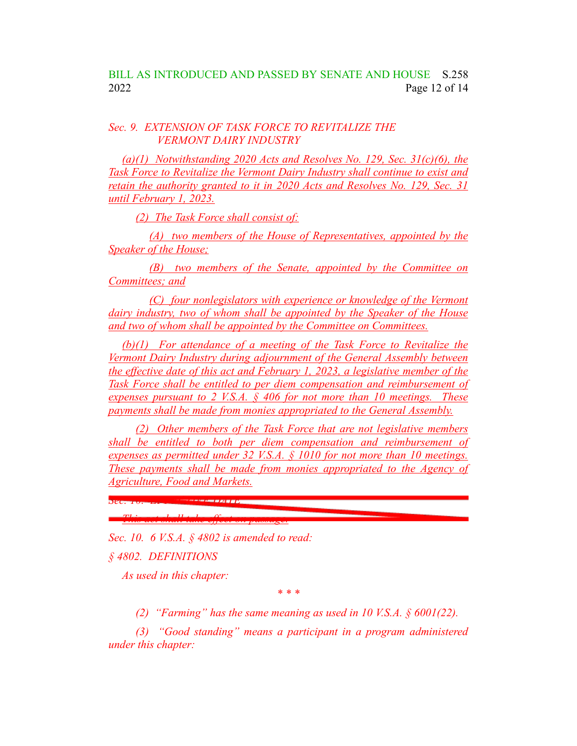## *Sec. 9. EXTENSION OF TASK FORCE TO REVITALIZE THE VERMONT DAIRY INDUSTRY*

*(a)(1) Notwithstanding 2020 Acts and Resolves No. 129, Sec. 31(c)(6), the Task Force to Revitalize the Vermont Dairy Industry shall continue to exist and retain the authority granted to it in 2020 Acts and Resolves No. 129, Sec. 31 until February 1, 2023.*

*(2) The Task Force shall consist of:*

*(A) two members of the House of Representatives, appointed by the Speaker of the House;*

*(B) two members of the Senate, appointed by the Committee on Committees; and*

*(C) four nonlegislators with experience or knowledge of the Vermont dairy industry, two of whom shall be appointed by the Speaker of the House and two of whom shall be appointed by the Committee on Committees.*

*(b)(1) For attendance of a meeting of the Task Force to Revitalize the Vermont Dairy Industry during adjournment of the General Assembly between the effective date of this act and February 1, 2023, a legislative member of the Task Force shall be entitled to per diem compensation and reimbursement of expenses pursuant to 2 V.S.A. § 406 for not more than 10 meetings. These payments shall be made from monies appropriated to the General Assembly.*

*(2) Other members of the Task Force that are not legislative members shall be entitled to both per diem compensation and reimbursement of expenses as permitted under 32 V.S.A. § 1010 for not more than 10 meetings. These payments shall be made from monies appropriated to the Agency of Agriculture, Food and Markets.*

*This act shall take effect on passage. Sec. 10. 6 V.S.A. § 4802 is amended to read:*

*§ 4802. DEFINITIONS*

*As used in this chapter:*

*Sec. 10. EFFECTIVE DATE*

*\* \* \**

*(2) "Farming" has the same meaning as used in 10 V.S.A. § 6001(22).*

*(3) "Good standing" means a participant in a program administered under this chapter:*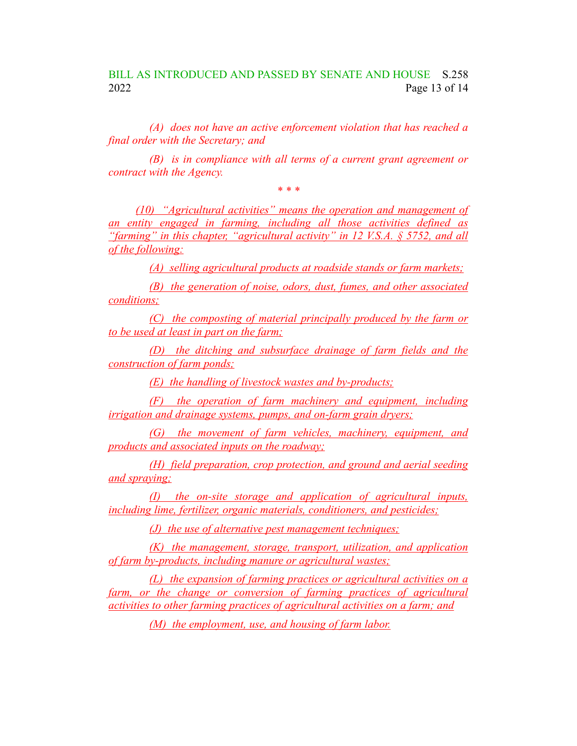# BILL AS INTRODUCED AND PASSED BY SENATE AND HOUSE S.258 2022 Page 13 of 14

*(A) does not have an active enforcement violation that has reached a final order with the Secretary; and*

*(B) is in compliance with all terms of a current grant agreement or contract with the Agency.*

*\* \* \* (10) "Agricultural activities" means the operation and management of an entity engaged in farming, including all those activities defined as "farming" in this chapter, "agricultural activity" in 12 V.S.A. § 5752, and all of the following:*

*(A) selling agricultural products at roadside stands or farm markets;*

*(B) the generation of noise, odors, dust, fumes, and other associated conditions;*

*(C) the composting of material principally produced by the farm or to be used at least in part on the farm;*

*(D) the ditching and subsurface drainage of farm fields and the construction of farm ponds;*

*(E) the handling of livestock wastes and by-products;*

*(F) the operation of farm machinery and equipment, including irrigation and drainage systems, pumps, and on-farm grain dryers;*

*(G) the movement of farm vehicles, machinery, equipment, and products and associated inputs on the roadway;*

*(H) field preparation, crop protection, and ground and aerial seeding and spraying;*

*(I) the on-site storage and application of agricultural inputs, including lime, fertilizer, organic materials, conditioners, and pesticides;*

*(J) the use of alternative pest management techniques;*

*(K) the management, storage, transport, utilization, and application of farm by-products, including manure or agricultural wastes;*

*(L) the expansion of farming practices or agricultural activities on a farm, or the change or conversion of farming practices of agricultural activities to other farming practices of agricultural activities on a farm; and*

*(M) the employment, use, and housing of farm labor.*